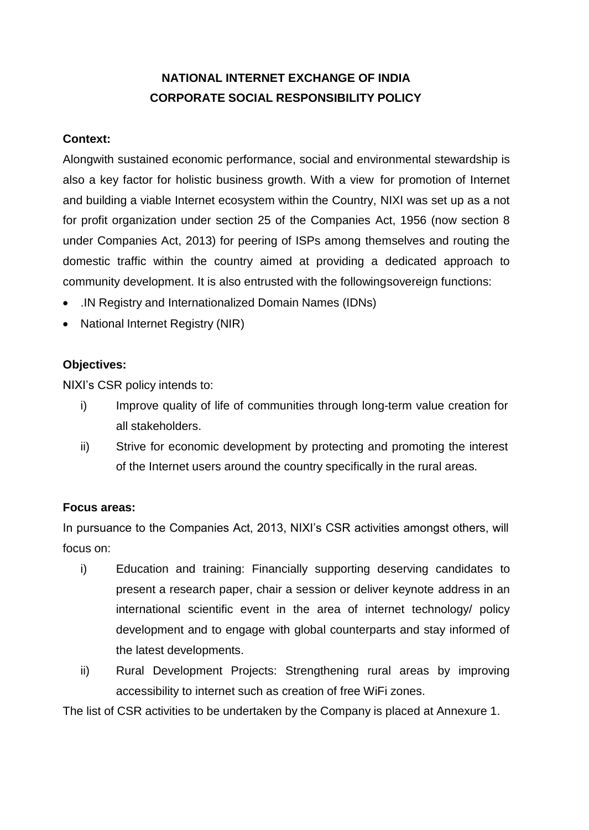# **NATIONAL INTERNET EXCHANGE OF INDIA CORPORATE SOCIAL RESPONSIBILITY POLICY**

#### **Context:**

Alongwith sustained economic performance, social and environmental stewardship is also a key factor for holistic business growth. With a view for promotion of Internet and building a viable Internet ecosystem within the Country, NIXI was set up as a not for profit organization under section 25 of the Companies Act, 1956 (now section 8 under Companies Act, 2013) for peering of ISPs among themselves and routing the domestic traffic within the country aimed at providing a dedicated approach to community development. It is also entrusted with the followingsovereign functions:

- .IN Registry and Internationalized Domain Names (IDNs)
- National Internet Registry (NIR)

## **Objectives:**

NIXI"s CSR policy intends to:

- i) Improve quality of life of communities through long-term value creation for all stakeholders.
- ii) Strive for economic development by protecting and promoting the interest of the Internet users around the country specifically in the rural areas.

## **Focus areas:**

In pursuance to the Companies Act, 2013, NIXI's CSR activities amongst others, will focus on:

- i) Education and training: Financially supporting deserving candidates to present a research paper, chair a session or deliver keynote address in an international scientific event in the area of internet technology/ policy development and to engage with global counterparts and stay informed of the latest developments.
- ii) Rural Development Projects: Strengthening rural areas by improving accessibility to internet such as creation of free WiFi zones.

The list of CSR activities to be undertaken by the Company is placed at Annexure 1.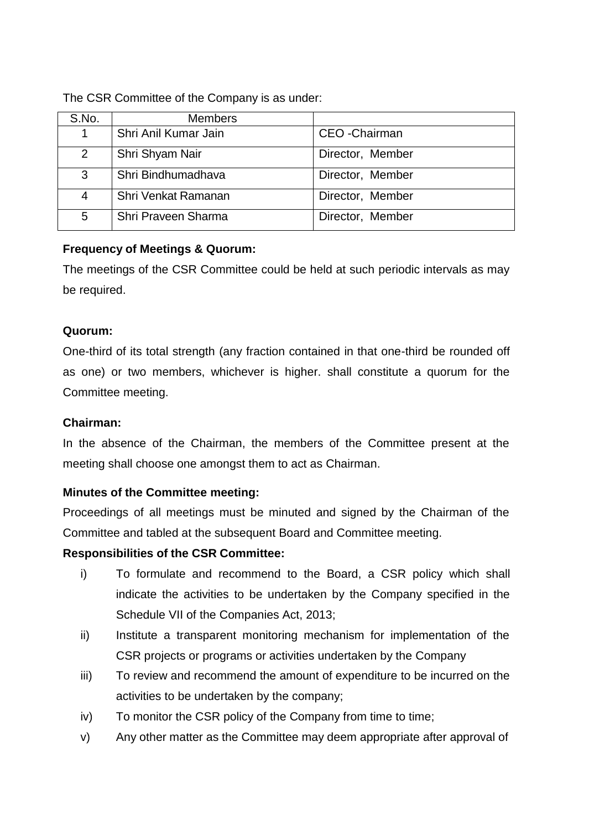The CSR Committee of the Company is as under:

|  | S.No.          | <b>Members</b>       |                       |
|--|----------------|----------------------|-----------------------|
|  | 1              | Shri Anil Kumar Jain | <b>CEO</b> - Chairman |
|  | 2              | Shri Shyam Nair      | Director, Member      |
|  | 3              | Shri Bindhumadhava   | Director, Member      |
|  | $\overline{4}$ | Shri Venkat Ramanan  | Director, Member      |
|  | 5              | Shri Praveen Sharma  | Director, Member      |

## **Frequency of Meetings & Quorum:**

The meetings of the CSR Committee could be held at such periodic intervals as may be required.

## **Quorum:**

One-third of its total strength (any fraction contained in that one-third be rounded off as one) or two members, whichever is higher. shall constitute a quorum for the Committee meeting.

## **Chairman:**

In the absence of the Chairman, the members of the Committee present at the meeting shall choose one amongst them to act as Chairman.

# **Minutes of the Committee meeting:**

Proceedings of all meetings must be minuted and signed by the Chairman of the Committee and tabled at the subsequent Board and Committee meeting.

# **Responsibilities of the CSR Committee:**

- i) To formulate and recommend to the Board, a CSR policy which shall indicate the activities to be undertaken by the Company specified in the Schedule VII of the Companies Act, 2013;
- ii) Institute a transparent monitoring mechanism for implementation of the CSR projects or programs or activities undertaken by the Company
- iii) To review and recommend the amount of expenditure to be incurred on the activities to be undertaken by the company;
- iv) To monitor the CSR policy of the Company from time to time;
- v) Any other matter as the Committee may deem appropriate after approval of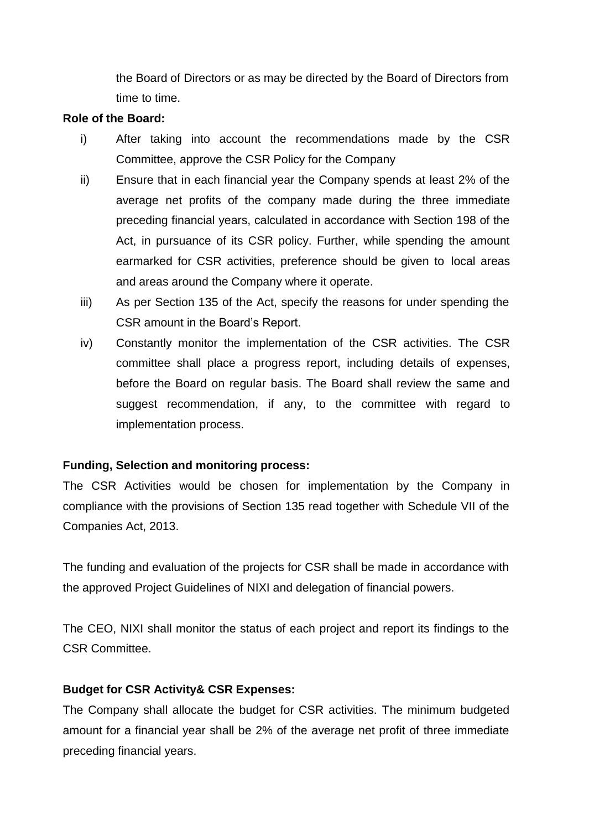the Board of Directors or as may be directed by the Board of Directors from time to time.

#### **Role of the Board:**

- i) After taking into account the recommendations made by the CSR Committee, approve the CSR Policy for the Company
- ii) Ensure that in each financial year the Company spends at least 2% of the average net profits of the company made during the three immediate preceding financial years, calculated in accordance with Section 198 of the Act, in pursuance of its CSR policy. Further, while spending the amount earmarked for CSR activities, preference should be given to local areas and areas around the Company where it operate.
- iii) As per Section 135 of the Act, specify the reasons for under spending the CSR amount in the Board"s Report.
- iv) Constantly monitor the implementation of the CSR activities. The CSR committee shall place a progress report, including details of expenses, before the Board on regular basis. The Board shall review the same and suggest recommendation, if any, to the committee with regard to implementation process.

## **Funding, Selection and monitoring process:**

The CSR Activities would be chosen for implementation by the Company in compliance with the provisions of Section 135 read together with Schedule VII of the Companies Act, 2013.

The funding and evaluation of the projects for CSR shall be made in accordance with the approved Project Guidelines of NIXI and delegation of financial powers.

The CEO, NIXI shall monitor the status of each project and report its findings to the CSR Committee.

#### **Budget for CSR Activity& CSR Expenses:**

The Company shall allocate the budget for CSR activities. The minimum budgeted amount for a financial year shall be 2% of the average net profit of three immediate preceding financial years.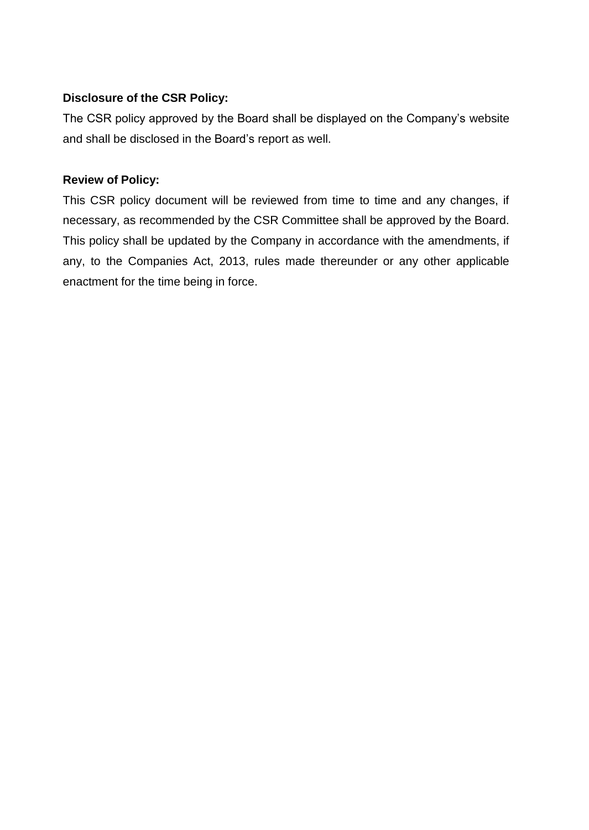## **Disclosure of the CSR Policy:**

The CSR policy approved by the Board shall be displayed on the Company"s website and shall be disclosed in the Board"s report as well.

## **Review of Policy:**

This CSR policy document will be reviewed from time to time and any changes, if necessary, as recommended by the CSR Committee shall be approved by the Board. This policy shall be updated by the Company in accordance with the amendments, if any, to the Companies Act, 2013, rules made thereunder or any other applicable enactment for the time being in force.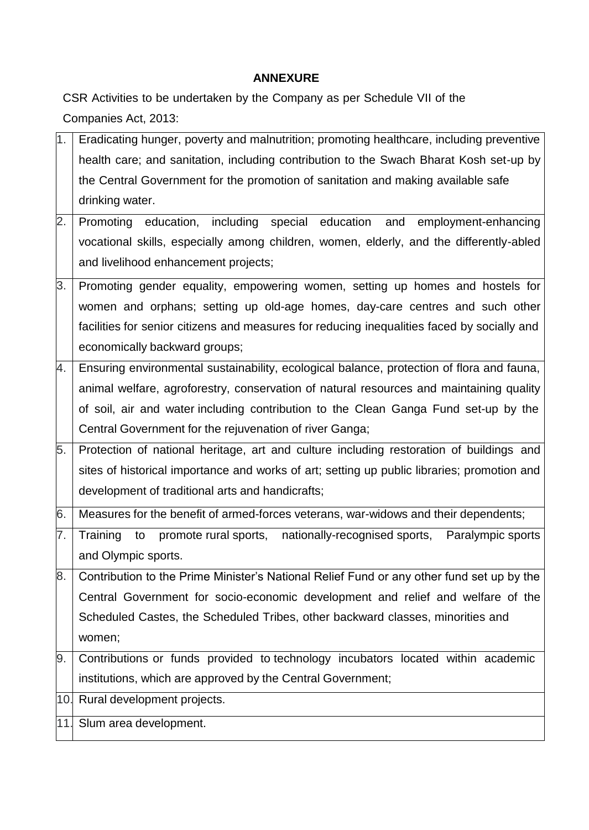# **ANNEXURE**

CSR Activities to be undertaken by the Company as per Schedule VII of the Companies Act, 2013:

| 1.                                 | Eradicating hunger, poverty and malnutrition; promoting healthcare, including preventive    |  |  |
|------------------------------------|---------------------------------------------------------------------------------------------|--|--|
|                                    | health care; and sanitation, including contribution to the Swach Bharat Kosh set-up by      |  |  |
|                                    | the Central Government for the promotion of sanitation and making available safe            |  |  |
|                                    | drinking water.                                                                             |  |  |
| 2.                                 | Promoting education, including special education and employment-enhancing                   |  |  |
|                                    | vocational skills, especially among children, women, elderly, and the differently-abled     |  |  |
|                                    | and livelihood enhancement projects;                                                        |  |  |
| 3.                                 | Promoting gender equality, empowering women, setting up homes and hostels for               |  |  |
|                                    | women and orphans; setting up old-age homes, day-care centres and such other                |  |  |
|                                    | facilities for senior citizens and measures for reducing inequalities faced by socially and |  |  |
|                                    | economically backward groups;                                                               |  |  |
| 4.                                 | Ensuring environmental sustainability, ecological balance, protection of flora and fauna,   |  |  |
|                                    | animal welfare, agroforestry, conservation of natural resources and maintaining quality     |  |  |
|                                    | of soil, air and water including contribution to the Clean Ganga Fund set-up by the         |  |  |
|                                    | Central Government for the rejuvenation of river Ganga;                                     |  |  |
| 5.                                 | Protection of national heritage, art and culture including restoration of buildings and     |  |  |
|                                    | sites of historical importance and works of art; setting up public libraries; promotion and |  |  |
|                                    | development of traditional arts and handicrafts;                                            |  |  |
| 6.                                 | Measures for the benefit of armed-forces veterans, war-widows and their dependents;         |  |  |
| 7.                                 | Training to promote rural sports, nationally-recognised sports,<br>Paralympic sports        |  |  |
|                                    | and Olympic sports.                                                                         |  |  |
| 8.                                 | Contribution to the Prime Minister's National Relief Fund or any other fund set up by the   |  |  |
|                                    | Central Government for socio-economic development and relief and welfare of the             |  |  |
|                                    | Scheduled Castes, the Scheduled Tribes, other backward classes, minorities and              |  |  |
|                                    | women;                                                                                      |  |  |
| 9.                                 | Contributions or funds provided to technology incubators located within academic            |  |  |
|                                    | institutions, which are approved by the Central Government;                                 |  |  |
| Rural development projects.<br>10. |                                                                                             |  |  |
| 11.                                | Slum area development.                                                                      |  |  |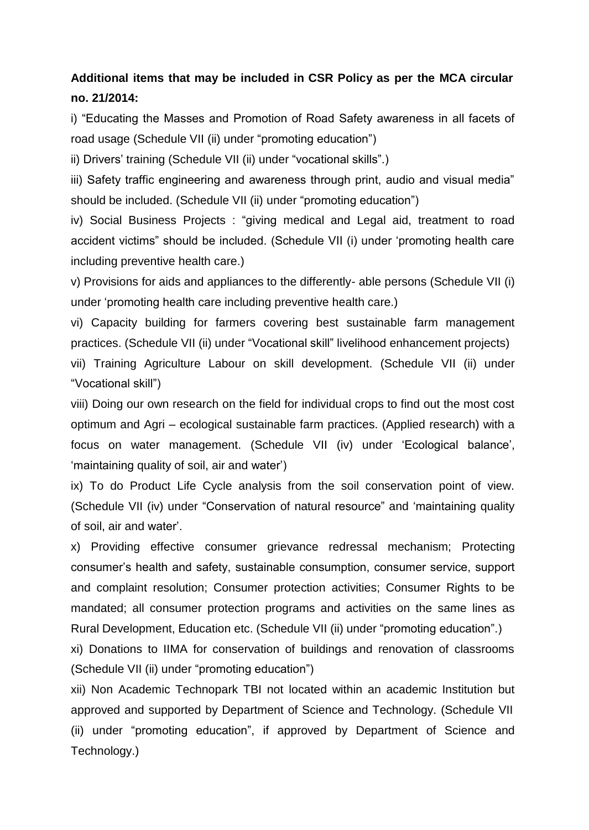# **Additional items that may be included in CSR Policy as per the MCA circular no. 21/2014:**

i) "Educating the Masses and Promotion of Road Safety awareness in all facets of road usage (Schedule VII (ii) under "promoting education")

ii) Drivers' training (Schedule VII (ii) under "vocational skills".)

iii) Safety traffic engineering and awareness through print, audio and visual media" should be included. (Schedule VII (ii) under "promoting education")

iv) Social Business Projects : "giving medical and Legal aid, treatment to road accident victims" should be included. (Schedule VII (i) under "promoting health care including preventive health care.)

v) Provisions for aids and appliances to the differently- able persons (Schedule VII (i) under "promoting health care including preventive health care.)

vi) Capacity building for farmers covering best sustainable farm management practices. (Schedule VII (ii) under "Vocational skill" livelihood enhancement projects)

vii) Training Agriculture Labour on skill development. (Schedule VII (ii) under "Vocational skill")

viii) Doing our own research on the field for individual crops to find out the most cost optimum and Agri – ecological sustainable farm practices. (Applied research) with a focus on water management. (Schedule VII (iv) under "Ecological balance", 'maintaining quality of soil, air and water')

ix) To do Product Life Cycle analysis from the soil conservation point of view. (Schedule VII (iv) under "Conservation of natural resource" and "maintaining quality of soil, air and water".

x) Providing effective consumer grievance redressal mechanism; Protecting consumer"s health and safety, sustainable consumption, consumer service, support and complaint resolution; Consumer protection activities; Consumer Rights to be mandated; all consumer protection programs and activities on the same lines as Rural Development, Education etc. (Schedule VII (ii) under "promoting education".)

xi) Donations to IIMA for conservation of buildings and renovation of classrooms (Schedule VII (ii) under "promoting education")

xii) Non Academic Technopark TBI not located within an academic Institution but approved and supported by Department of Science and Technology. (Schedule VII (ii) under "promoting education", if approved by Department of Science and Technology.)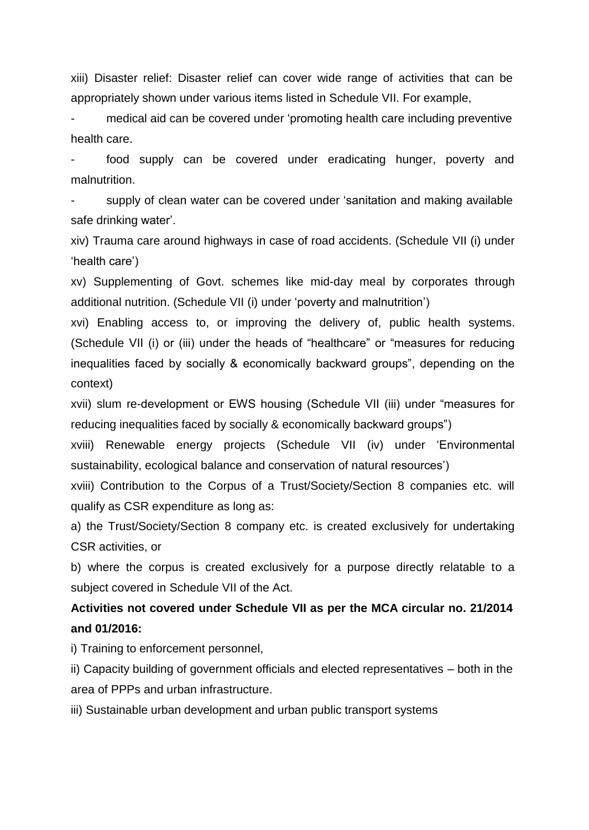xiii) Disaster relief: Disaster relief can cover wide range of activities that can be appropriately shown under various items listed in Schedule VII. For example,

medical aid can be covered under 'promoting health care including preventive health care.

food supply can be covered under eradicating hunger, poverty and malnutrition.

supply of clean water can be covered under 'sanitation and making available safe drinking water'.

xiv) Trauma care around highways in case of road accidents. (Schedule VII (i) under "health care")

xv) Supplementing of Govt. schemes like mid-day meal by corporates through additional nutrition. (Schedule VII (i) under "poverty and malnutrition")

xvi) Enabling access to, or improving the delivery of, public health systems. (Schedule VII (i) or (iii) under the heads of "healthcare" or "measures for reducing inequalities faced by socially & economically backward groups", depending on the context)

xvii) slum re-development or EWS housing (Schedule VII (iii) under "measures for reducing inequalities faced by socially & economically backward groups")

xviii) Renewable energy projects (Schedule VII (iv) under "Environmental sustainability, ecological balance and conservation of natural resources")

xviii) Contribution to the Corpus of a Trust/Society/Section 8 companies etc. will qualify as CSR expenditure as long as:

a) the Trust/Society/Section 8 company etc. is created exclusively for undertaking CSR activities, or

b) where the corpus is created exclusively for a purpose directly relatable to a subject covered in Schedule VII of the Act.

# **Activities not covered under Schedule VII as per the MCA circular no. 21/2014 and 01/2016:**

i) Training to enforcement personnel,

ii) Capacity building of government officials and elected representatives – both in the area of PPPs and urban infrastructure.

iii) Sustainable urban development and urban public transport systems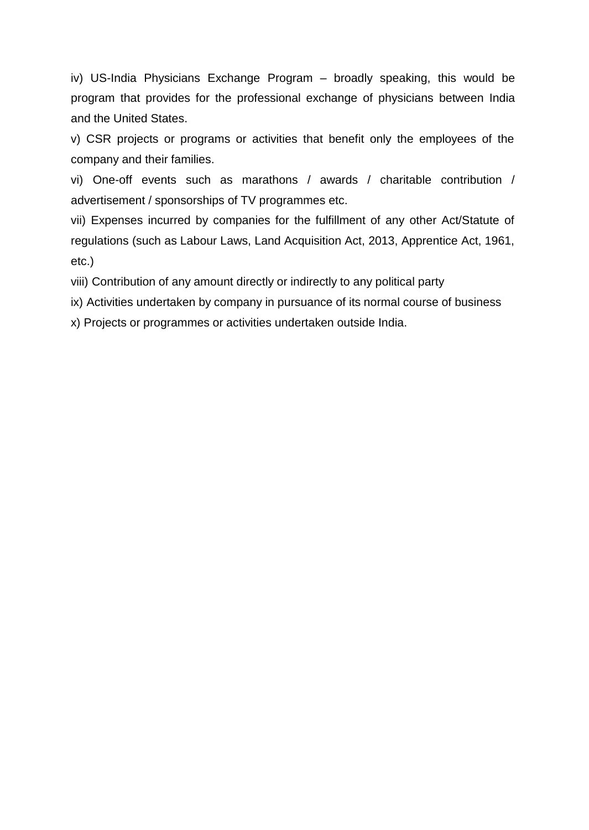iv) US-India Physicians Exchange Program – broadly speaking, this would be program that provides for the professional exchange of physicians between India and the United States.

v) CSR projects or programs or activities that benefit only the employees of the company and their families.

vi) One-off events such as marathons / awards / charitable contribution / advertisement / sponsorships of TV programmes etc.

vii) Expenses incurred by companies for the fulfillment of any other Act/Statute of regulations (such as Labour Laws, Land Acquisition Act, 2013, Apprentice Act, 1961, etc.)

viii) Contribution of any amount directly or indirectly to any political party

ix) Activities undertaken by company in pursuance of its normal course of business

x) Projects or programmes or activities undertaken outside India.